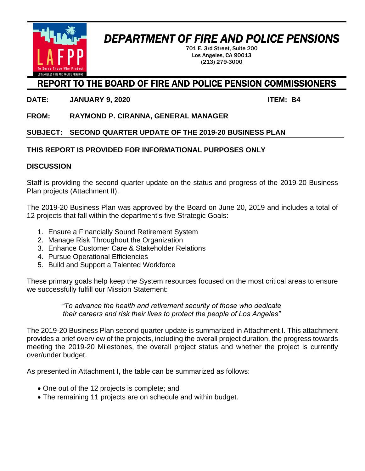

# *DEPARTMENT OF FIRE AND POLICE PENSIONS*

701 E. 3rd Street, Suite 200 Los Angeles, CA 90013 (213) 279-3000

#### REPORT TO THE BOARD OF FIRE AND POLICE PENSION COMMISSIONERS

**DATE: JANUARY 9, 2020 ITEM: B4**

**FROM: RAYMOND P. CIRANNA, GENERAL MANAGER**

**SUBJECT: SECOND QUARTER UPDATE OF THE 2019-20 BUSINESS PLAN**

#### **THIS REPORT IS PROVIDED FOR INFORMATIONAL PURPOSES ONLY**

#### **DISCUSSION**

Staff is providing the second quarter update on the status and progress of the 2019-20 Business Plan projects (Attachment II).

The 2019-20 Business Plan was approved by the Board on June 20, 2019 and includes a total of 12 projects that fall within the department's five Strategic Goals:

- 1. Ensure a Financially Sound Retirement System
- 2. Manage Risk Throughout the Organization
- 3. Enhance Customer Care & Stakeholder Relations
- 4. Pursue Operational Efficiencies
- 5. Build and Support a Talented Workforce

These primary goals help keep the System resources focused on the most critical areas to ensure we successfully fulfill our Mission Statement:

> *"To advance the health and retirement security of those who dedicate their careers and risk their lives to protect the people of Los Angeles"*

The 2019-20 Business Plan second quarter update is summarized in Attachment I. This attachment provides a brief overview of the projects, including the overall project duration, the progress towards meeting the 2019-20 Milestones, the overall project status and whether the project is currently over/under budget.

As presented in Attachment I, the table can be summarized as follows:

- One out of the 12 projects is complete; and
- The remaining 11 projects are on schedule and within budget.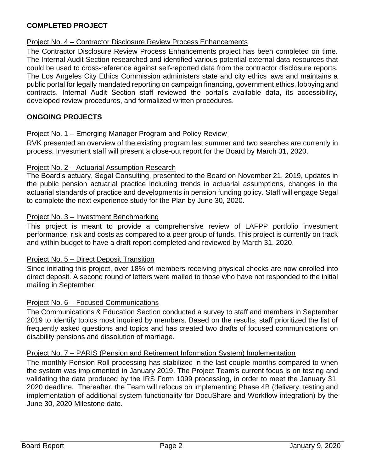#### **COMPLETED PROJECT**

#### Project No. 4 – Contractor Disclosure Review Process Enhancements

The Contractor Disclosure Review Process Enhancements project has been completed on time. The Internal Audit Section researched and identified various potential external data resources that could be used to cross-reference against self-reported data from the contractor disclosure reports. The Los Angeles City Ethics Commission administers state and city ethics laws and maintains a public portal for legally mandated reporting on campaign financing, government ethics, lobbying and contracts. Internal Audit Section staff reviewed the portal's available data, its accessibility, developed review procedures, and formalized written procedures.

#### **ONGOING PROJECTS**

#### Project No. 1 – Emerging Manager Program and Policy Review

RVK presented an overview of the existing program last summer and two searches are currently in process. Investment staff will present a close-out report for the Board by March 31, 2020.

#### Project No. 2 – Actuarial Assumption Research

The Board's actuary, Segal Consulting, presented to the Board on November 21, 2019, updates in the public pension actuarial practice including trends in actuarial assumptions, changes in the actuarial standards of practice and developments in pension funding policy. Staff will engage Segal to complete the next experience study for the Plan by June 30, 2020.

#### Project No. 3 – Investment Benchmarking

This project is meant to provide a comprehensive review of LAFPP portfolio investment performance, risk and costs as compared to a peer group of funds. This project is currently on track and within budget to have a draft report completed and reviewed by March 31, 2020.

#### Project No. 5 – Direct Deposit Transition

Since initiating this project, over 18% of members receiving physical checks are now enrolled into direct deposit. A second round of letters were mailed to those who have not responded to the initial mailing in September.

#### Project No. 6 – Focused Communications

The Communications & Education Section conducted a survey to staff and members in September 2019 to identify topics most inquired by members. Based on the results, staff prioritized the list of frequently asked questions and topics and has created two drafts of focused communications on disability pensions and dissolution of marriage.

#### Project No. 7 – PARIS (Pension and Retirement Information System) Implementation

The monthly Pension Roll processing has stabilized in the last couple months compared to when the system was implemented in January 2019. The Project Team's current focus is on testing and validating the data produced by the IRS Form 1099 processing, in order to meet the January 31, 2020 deadline. Thereafter, the Team will refocus on implementing Phase 4B (delivery, testing and implementation of additional system functionality for DocuShare and Workflow integration) by the June 30, 2020 Milestone date.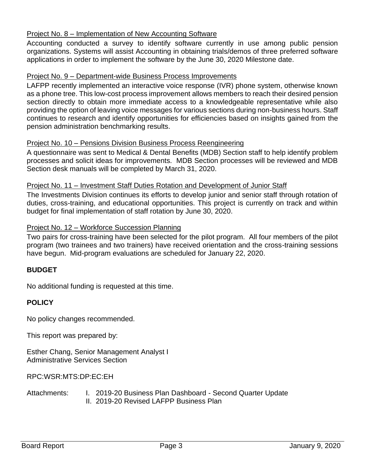#### Project No. 8 - Implementation of New Accounting Software

Accounting conducted a survey to identify software currently in use among public pension organizations. Systems will assist Accounting in obtaining trials/demos of three preferred software applications in order to implement the software by the June 30, 2020 Milestone date.

#### Project No. 9 – Department-wide Business Process Improvements

LAFPP recently implemented an interactive voice response (IVR) phone system, otherwise known as a phone tree. This low-cost process improvement allows members to reach their desired pension section directly to obtain more immediate access to a knowledgeable representative while also providing the option of leaving voice messages for various sections during non-business hours. Staff continues to research and identify opportunities for efficiencies based on insights gained from the pension administration benchmarking results.

#### Project No. 10 – Pensions Division Business Process Reengineering

A questionnaire was sent to Medical & Dental Benefits (MDB) Section staff to help identify problem processes and solicit ideas for improvements. MDB Section processes will be reviewed and MDB Section desk manuals will be completed by March 31, 2020.

#### Project No. 11 – Investment Staff Duties Rotation and Development of Junior Staff

The Investments Division continues its efforts to develop junior and senior staff through rotation of duties, cross-training, and educational opportunities. This project is currently on track and within budget for final implementation of staff rotation by June 30, 2020.

#### Project No. 12 – Workforce Succession Planning

Two pairs for cross-training have been selected for the pilot program. All four members of the pilot program (two trainees and two trainers) have received orientation and the cross-training sessions have begun. Mid-program evaluations are scheduled for January 22, 2020.

#### **BUDGET**

No additional funding is requested at this time.

#### **POLICY**

No policy changes recommended.

This report was prepared by:

Esther Chang, Senior Management Analyst I Administrative Services Section

RPC:WSR:MTS:DP:EC:EH

Attachments: I. 2019-20 Business Plan Dashboard - Second Quarter Update II. 2019-20 Revised LAFPP Business Plan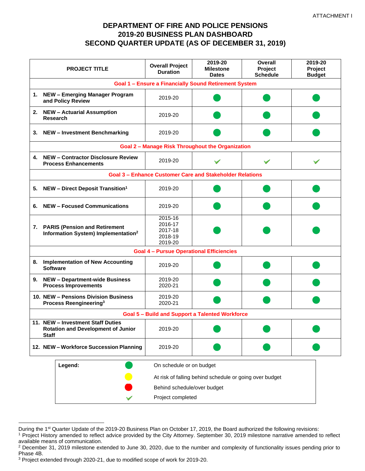#### **DEPARTMENT OF FIRE AND POLICE PENSIONS 2019-20 BUSINESS PLAN DASHBOARD SECOND QUARTER UPDATE (AS OF DECEMBER 31, 2019)**

| <b>PROJECT TITLE</b>                                                                           |                                                                                     | <b>Overall Project</b><br><b>Duration</b>           | 2019-20<br><b>Milestone</b><br><b>Dates</b>              | <b>Overall</b><br>Project<br><b>Schedule</b> | 2019-20<br>Project<br><b>Budget</b> |
|------------------------------------------------------------------------------------------------|-------------------------------------------------------------------------------------|-----------------------------------------------------|----------------------------------------------------------|----------------------------------------------|-------------------------------------|
|                                                                                                | <b>Goal 1 - Ensure a Financially Sound Retirement System</b>                        |                                                     |                                                          |                                              |                                     |
|                                                                                                | 1. NEW - Emerging Manager Program<br>and Policy Review                              | 2019-20                                             |                                                          |                                              |                                     |
|                                                                                                | 2. NEW - Actuarial Assumption<br><b>Research</b>                                    | 2019-20                                             |                                                          |                                              |                                     |
| 3.                                                                                             | <b>NEW - Investment Benchmarking</b>                                                | 2019-20                                             |                                                          |                                              |                                     |
|                                                                                                |                                                                                     |                                                     | <b>Goal 2 - Manage Risk Throughout the Organization</b>  |                                              |                                     |
|                                                                                                | 4. NEW - Contractor Disclosure Review<br><b>Process Enhancements</b>                | 2019-20                                             |                                                          |                                              |                                     |
|                                                                                                |                                                                                     |                                                     | Goal 3 - Enhance Customer Care and Stakeholder Relations |                                              |                                     |
| 5.                                                                                             | <b>NEW - Direct Deposit Transition<sup>1</sup></b>                                  | 2019-20                                             |                                                          |                                              |                                     |
| 6.                                                                                             | <b>NEW - Focused Communications</b>                                                 | 2019-20                                             |                                                          |                                              |                                     |
|                                                                                                | 7. PARIS (Pension and Retirement<br>Information System) Implementation <sup>2</sup> | 2015-16<br>2016-17<br>2017-18<br>2018-19<br>2019-20 |                                                          |                                              |                                     |
|                                                                                                |                                                                                     | <b>Goal 4 - Pursue Operational Efficiencies</b>     |                                                          |                                              |                                     |
|                                                                                                | 8. Implementation of New Accounting<br><b>Software</b>                              | 2019-20                                             |                                                          |                                              |                                     |
|                                                                                                | 9. NEW - Department-wide Business<br><b>Process Improvements</b>                    | 2019-20<br>2020-21                                  |                                                          |                                              |                                     |
|                                                                                                | 10. NEW - Pensions Division Business<br>Process Reengineering <sup>3</sup>          | 2019-20<br>2020-21                                  |                                                          |                                              |                                     |
|                                                                                                |                                                                                     |                                                     | <b>Goal 5 - Build and Support a Talented Workforce</b>   |                                              |                                     |
| 11. NEW - Investment Staff Duties<br><b>Rotation and Development of Junior</b><br><b>Staff</b> |                                                                                     | 2019-20                                             |                                                          |                                              |                                     |
|                                                                                                | 12. NEW - Workforce Succession Planning                                             | 2019-20                                             |                                                          |                                              |                                     |
|                                                                                                | Legend:                                                                             | On schedule or on budget                            |                                                          |                                              |                                     |
|                                                                                                |                                                                                     |                                                     | At risk of falling behind schedule or going over budget  |                                              |                                     |
|                                                                                                |                                                                                     | Behind schedule/over budget                         |                                                          |                                              |                                     |
|                                                                                                |                                                                                     | Project completed                                   |                                                          |                                              |                                     |

During the 1<sup>st</sup> Quarter Update of the 2019-20 Business Plan on October 17, 2019, the Board authorized the following revisions:

<sup>&</sup>lt;sup>1</sup> Project History amended to reflect advice provided by the City Attorney. September 30, 2019 milestone narrative amended to reflect available means of communication.

<sup>&</sup>lt;sup>2</sup> December 31, 2019 milestone extended to June 30, 2020, due to the number and complexity of functionality issues pending prior to Phase 4B.

<sup>3</sup> Project extended through 2020-21, due to modified scope of work for 2019-20.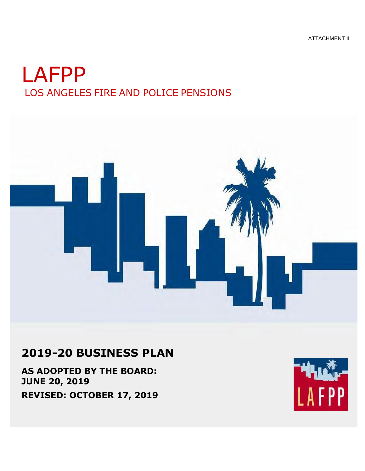ATTACHMENT II

# LAFPP LOS ANGELES FIRE AND POLICE PENSIONS



# **2019-20 BUSINESS PLAN**

**AS ADOPTED BY THE BOARD: JUNE 20, 2019 REVISED: OCTOBER 17, 2019**

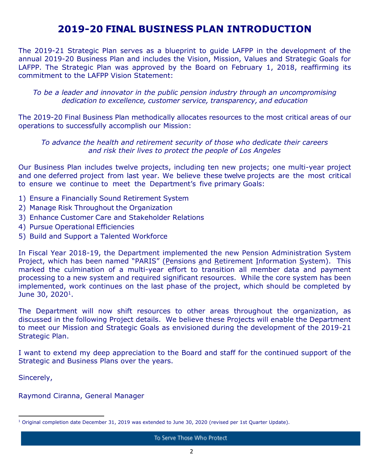### **2019-20 FINAL BUSINESS PLAN INTRODUCTION**

The 2019-21 Strategic Plan serves as a blueprint to guide LAFPP in the development of the annual 2019-20 Business Plan and includes the Vision, Mission, Values and Strategic Goals for LAFPP. The Strategic Plan was approved by the Board on February 1, 2018, reaffirming its commitment to the LAFPP Vision Statement:

*To be a leader and innovator in the public pension industry through an uncompromising dedication to excellence, customer service, transparency, and education*

The 2019-20 Final Business Plan methodically allocates resources to the most critical areas of our operations to successfully accomplish our Mission:

*To advance the health and retirement security of those who dedicate their careers and risk their lives to protect the people of Los Angeles*

Our Business Plan includes twelve projects, including ten new projects; one multi-year project and one deferred project from last year. We believe these twelve projects are the most critical to ensure we continue to meet the Department's five primary Goals:

- 1) Ensure a Financially Sound Retirement System
- 2) Manage Risk Throughout the Organization
- 3) Enhance Customer Care and Stakeholder Relations
- 4) Pursue Operational Efficiencies
- 5) Build and Support a Talented Workforce

In Fiscal Year 2018-19, the Department implemented the new Pension Administration System Project, which has been named "PARIS" (Pensions and Retirement Information System). This marked the culmination of a multi-year effort to transition all member data and payment processing to a new system and required significant resources. While the core system has been implemented, work continues on the last phase of the project, which should be completed by June 30, 2020<sup>1</sup>.

The Department will now shift resources to other areas throughout the organization, as discussed in the following Project details. We believe these Projects will enable the Department to meet our Mission and Strategic Goals as envisioned during the development of the 2019-21 Strategic Plan.

I want to extend my deep appreciation to the Board and staff for the continued support of the Strategic and Business Plans over the years.

Sincerely,

Raymond Ciranna, General Manager

<sup>&</sup>lt;sup>1</sup> Original completion date December 31, 2019 was extended to June 30, 2020 (revised per 1st Quarter Update).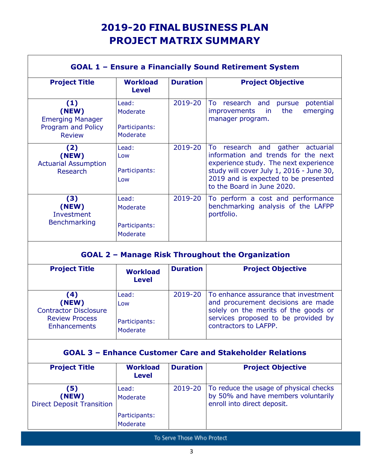# **2019-20 FINAL BUSINESS PLAN PROJECT MATRIX SUMMARY**

| <b>Project Title</b>                                                           | <b>Workload</b><br><b>Level</b>                | <b>Duration</b> | <b>Project Objective</b>                                                                                                                                                                                                              |
|--------------------------------------------------------------------------------|------------------------------------------------|-----------------|---------------------------------------------------------------------------------------------------------------------------------------------------------------------------------------------------------------------------------------|
| (1)<br>(NEW)<br><b>Emerging Manager</b><br>Program and Policy<br><b>Review</b> | Lead:<br>Moderate<br>Participants:<br>Moderate | 2019-20         | research and<br>potential<br>To<br>pursue<br>the<br>emerging<br><i>improvements</i><br>in.<br>manager program.                                                                                                                        |
| (2)<br>(NEW)<br><b>Actuarial Assumption</b><br><b>Research</b>                 | Lead:<br>Low<br>Participants:<br>Low           | 2019-20         | To<br>research and gather actuarial<br>information and trends for the next<br>experience study. The next experience<br>study will cover July 1, 2016 - June 30,<br>2019 and is expected to be presented<br>to the Board in June 2020. |
| (3)<br>(NEW)<br>Investment<br><b>Benchmarking</b>                              | Lead:<br>Moderate<br>Participants:<br>Moderate | 2019-20         | To perform a cost and performance<br>benchmarking analysis of the LAFPP<br>portfolio.                                                                                                                                                 |

| <b>Project Title</b>                                                                                        | <b>Workload</b><br><b>Level</b>           | <b>Duration</b> | <b>Project Objective</b>                                                                                                                                                                     |
|-------------------------------------------------------------------------------------------------------------|-------------------------------------------|-----------------|----------------------------------------------------------------------------------------------------------------------------------------------------------------------------------------------|
| $\left( 4 \right)$<br>(NEW)<br><b>Contractor Disclosure</b><br><b>Review Process</b><br><b>Enhancements</b> | Lead:<br>Low<br>Participants:<br>Moderate |                 | 2019-20   To enhance assurance that investment<br>and procurement decisions are made<br>solely on the merits of the goods or<br>services proposed to be provided by<br>contractors to LAFPP. |

#### **GOAL 3 – Enhance Customer Care and Stakeholder Relations**

| <b>Project Title</b>                             | <b>Workload</b><br><b>Level</b> | <b>Duration</b> | <b>Project Objective</b>                                                                                     |
|--------------------------------------------------|---------------------------------|-----------------|--------------------------------------------------------------------------------------------------------------|
| (5)<br>(NEW)<br><b>Direct Deposit Transition</b> | Lead:<br>Moderate               | 2019-20         | To reduce the usage of physical checks<br>by 50% and have members voluntarily<br>enroll into direct deposit. |
|                                                  | Participants:<br>Moderate       |                 |                                                                                                              |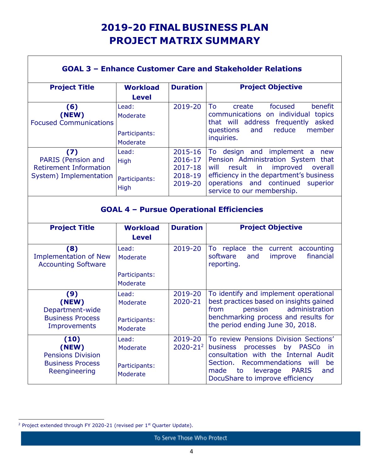# **2019-20 FINAL BUSINESS PLAN PROJECT MATRIX SUMMARY**

٦

|                                                                                      |                                                |                                                     | <b>GOAL 3 - Enhance Customer Care and Stakeholder Relations</b>                                                                                                                                                                            |  |
|--------------------------------------------------------------------------------------|------------------------------------------------|-----------------------------------------------------|--------------------------------------------------------------------------------------------------------------------------------------------------------------------------------------------------------------------------------------------|--|
| <b>Project Title</b>                                                                 | <b>Workload</b>                                | <b>Duration</b>                                     | <b>Project Objective</b>                                                                                                                                                                                                                   |  |
|                                                                                      | <b>Level</b>                                   |                                                     |                                                                                                                                                                                                                                            |  |
| (6)<br>(NEW)<br><b>Focused Communications</b>                                        | Lead:<br>Moderate<br>Participants:<br>Moderate | 2019-20                                             | focused<br>benefit<br>To<br>create<br>communications on individual topics<br>that will address frequently<br>asked<br>reduce<br>member<br>questions<br>and<br>inquiries.                                                                   |  |
| (7)<br>PARIS (Pension and<br><b>Retirement Information</b><br>System) Implementation | Lead:<br>High<br>Participants:<br><b>High</b>  | 2015-16<br>2016-17<br>2017-18<br>2018-19<br>2019-20 | To design and implement a<br>new<br>Pension Administration System that<br>result<br>in.<br>will<br>improved<br>overall<br>efficiency in the department's business<br>continued<br>operations and<br>superior<br>service to our membership. |  |
| <b>GOAL 4 - Pursue Operational Efficiencies</b>                                      |                                                |                                                     |                                                                                                                                                                                                                                            |  |
| <b>Project Title</b>                                                                 | <b>Workload</b>                                |                                                     |                                                                                                                                                                                                                                            |  |
|                                                                                      | <b>Level</b>                                   | <b>Duration</b>                                     | <b>Project Objective</b>                                                                                                                                                                                                                   |  |
| (8)<br><b>Implementation of New</b><br><b>Accounting Software</b>                    | Lead:<br>Moderate<br>Participants:<br>Moderate | 2019-20                                             | To replace the current accounting<br>software<br>financial<br>and<br>improve<br>reporting.                                                                                                                                                 |  |
| (9)<br>(NEW)<br>Department-wide<br><b>Business Process</b><br>Improvements           | Lead:<br>Moderate<br>Participants:<br>Moderate | 2019-20<br>2020-21                                  | To identify and implement operational<br>best practices based on insights gained<br>from<br>pension<br>administration<br>benchmarking process and results for<br>the period ending June 30, 2018.                                          |  |

 $\Gamma$ 

<sup>&</sup>lt;sup>2</sup> Project extended through FY 2020-21 (revised per  $1<sup>st</sup>$  Quarter Update).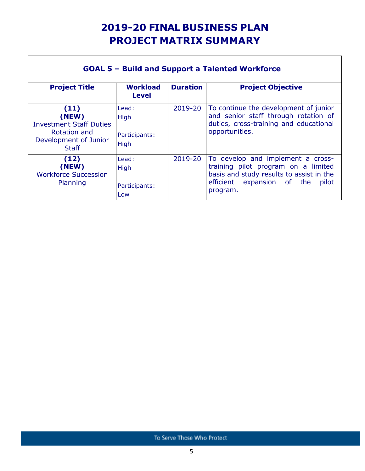# **2019-20 FINAL BUSINESS PLAN PROJECT MATRIX SUMMARY**

┑

| <b>GOAL 5 - Build and Support a Talented Workforce</b>                                                          |                                        |                 |                                                                                                                                                                         |  |
|-----------------------------------------------------------------------------------------------------------------|----------------------------------------|-----------------|-------------------------------------------------------------------------------------------------------------------------------------------------------------------------|--|
| <b>Project Title</b>                                                                                            | <b>Workload</b><br><b>Level</b>        | <b>Duration</b> | <b>Project Objective</b>                                                                                                                                                |  |
| (11)<br>(NEW)<br><b>Investment Staff Duties</b><br><b>Rotation and</b><br>Development of Junior<br><b>Staff</b> | Lead:<br>High<br>Participants:<br>High | 2019-20         | To continue the development of junior<br>and senior staff through rotation of<br>duties, cross-training and educational<br>opportunities.                               |  |
| (12)<br>(NEW)<br><b>Workforce Succession</b><br>Planning                                                        | Lead:<br>High<br>Participants:<br>Low  | 2019-20         | To develop and implement a cross-<br>training pilot program on a limited<br>basis and study results to assist in the<br>efficient expansion of the<br>pilot<br>program. |  |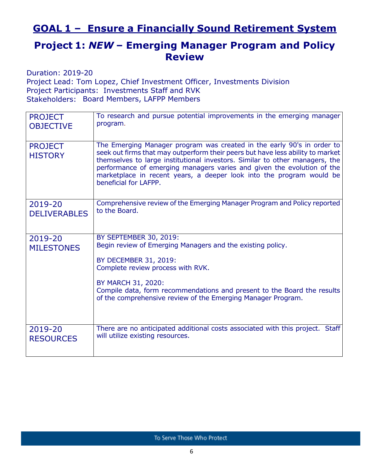### **GOAL 1 – Ensure a Financially Sound Retirement System**

### **Project 1:** *NEW* **– Emerging Manager Program and Policy Review**

Duration: 2019-20 Project Lead: Tom Lopez, Chief Investment Officer, Investments Division Project Participants: Investments Staff and RVK Stakeholders: Board Members, LAFPP Members

| <b>PROJECT</b>                   | To research and pursue potential improvements in the emerging manager                                                                                                                                                                                                                                                                                                                                              |
|----------------------------------|--------------------------------------------------------------------------------------------------------------------------------------------------------------------------------------------------------------------------------------------------------------------------------------------------------------------------------------------------------------------------------------------------------------------|
| <b>OBJECTIVE</b>                 | program.                                                                                                                                                                                                                                                                                                                                                                                                           |
| <b>PROJECT</b><br><b>HISTORY</b> | The Emerging Manager program was created in the early 90's in order to<br>seek out firms that may outperform their peers but have less ability to market<br>themselves to large institutional investors. Similar to other managers, the<br>performance of emerging managers varies and given the evolution of the<br>marketplace in recent years, a deeper look into the program would be<br>beneficial for LAFPP. |
| 2019-20                          | Comprehensive review of the Emerging Manager Program and Policy reported                                                                                                                                                                                                                                                                                                                                           |
| <b>DELIVERABLES</b>              | to the Board.                                                                                                                                                                                                                                                                                                                                                                                                      |
| 2019-20<br><b>MILESTONES</b>     | <b>BY SEPTEMBER 30, 2019:</b><br>Begin review of Emerging Managers and the existing policy.<br>BY DECEMBER 31, 2019:<br>Complete review process with RVK.<br>BY MARCH 31, 2020:<br>Compile data, form recommendations and present to the Board the results<br>of the comprehensive review of the Emerging Manager Program.                                                                                         |
| 2019-20                          | There are no anticipated additional costs associated with this project. Staff                                                                                                                                                                                                                                                                                                                                      |
| <b>RESOURCES</b>                 | will utilize existing resources.                                                                                                                                                                                                                                                                                                                                                                                   |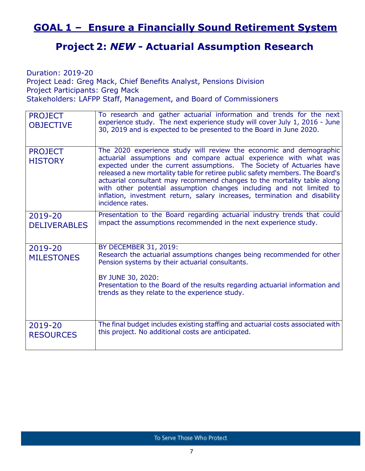### **GOAL 1 – Ensure a Financially Sound Retirement System**

#### **Project 2:** *NEW* **- Actuarial Assumption Research**

Duration: 2019-20 Project Lead: Greg Mack, Chief Benefits Analyst, Pensions Division Project Participants: Greg Mack Stakeholders: LAFPP Staff, Management, and Board of Commissioners

| <b>PROJECT</b><br><b>OBJECTIVE</b> | To research and gather actuarial information and trends for the next<br>experience study. The next experience study will cover July 1, 2016 - June<br>30, 2019 and is expected to be presented to the Board in June 2020.                                                                                                                                                                                                                                                                                                                              |
|------------------------------------|--------------------------------------------------------------------------------------------------------------------------------------------------------------------------------------------------------------------------------------------------------------------------------------------------------------------------------------------------------------------------------------------------------------------------------------------------------------------------------------------------------------------------------------------------------|
| <b>PROJECT</b><br><b>HISTORY</b>   | The 2020 experience study will review the economic and demographic<br>actuarial assumptions and compare actual experience with what was<br>expected under the current assumptions. The Society of Actuaries have<br>released a new mortality table for retiree public safety members. The Board's<br>actuarial consultant may recommend changes to the mortality table along<br>with other potential assumption changes including and not limited to<br>inflation, investment return, salary increases, termination and disability<br>incidence rates. |
| 2019-20<br><b>DELIVERABLES</b>     | Presentation to the Board regarding actuarial industry trends that could<br>impact the assumptions recommended in the next experience study.                                                                                                                                                                                                                                                                                                                                                                                                           |
| 2019-20<br><b>MILESTONES</b>       | BY DECEMBER 31, 2019:<br>Research the actuarial assumptions changes being recommended for other<br>Pension systems by their actuarial consultants.<br>BY JUNE 30, 2020:<br>Presentation to the Board of the results regarding actuarial information and<br>trends as they relate to the experience study.                                                                                                                                                                                                                                              |
| 2019-20<br><b>RESOURCES</b>        | The final budget includes existing staffing and actuarial costs associated with<br>this project. No additional costs are anticipated.                                                                                                                                                                                                                                                                                                                                                                                                                  |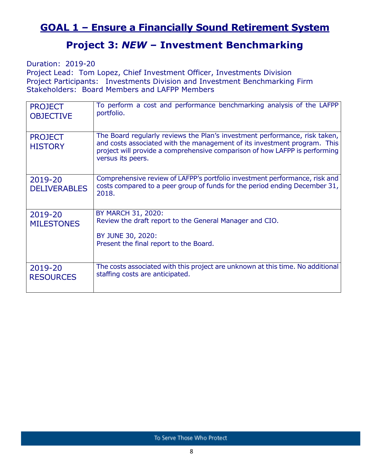### **GOAL 1 – Ensure a Financially Sound Retirement System**

#### **Project 3:** *NEW* **– Investment Benchmarking**

Duration: 2019-20

Project Lead: Tom Lopez, Chief Investment Officer, Investments Division Project Participants: Investments Division and Investment Benchmarking Firm Stakeholders: Board Members and LAFPP Members

| <b>PROJECT</b><br><b>OBJECTIVE</b> | To perform a cost and performance benchmarking analysis of the LAFPP<br>portfolio.                                                                                                                                                                        |
|------------------------------------|-----------------------------------------------------------------------------------------------------------------------------------------------------------------------------------------------------------------------------------------------------------|
| <b>PROJECT</b><br><b>HISTORY</b>   | The Board regularly reviews the Plan's investment performance, risk taken,<br>and costs associated with the management of its investment program. This<br>project will provide a comprehensive comparison of how LAFPP is performing<br>versus its peers. |
| 2019-20<br><b>DELIVERABLES</b>     | Comprehensive review of LAFPP's portfolio investment performance, risk and<br>costs compared to a peer group of funds for the period ending December 31,<br>2018.                                                                                         |
| 2019-20<br><b>MILESTONES</b>       | BY MARCH 31, 2020:<br>Review the draft report to the General Manager and CIO.<br>BY JUNE 30, 2020:<br>Present the final report to the Board.                                                                                                              |
| 2019-20<br><b>RESOURCES</b>        | The costs associated with this project are unknown at this time. No additional<br>staffing costs are anticipated.                                                                                                                                         |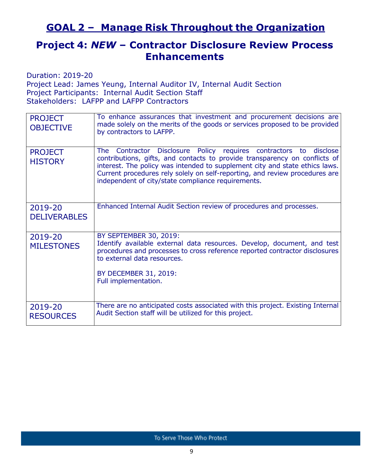### **GOAL 2 – Manage Risk Throughout the Organization**

### **Project 4:** *NEW* **– Contractor Disclosure Review Process Enhancements**

Duration: 2019-20

Project Lead: James Yeung, Internal Auditor IV, Internal Audit Section Project Participants: Internal Audit Section Staff Stakeholders: LAFPP and LAFPP Contractors

| <b>PROJECT</b><br><b>OBJECTIVE</b> | To enhance assurances that investment and procurement decisions are<br>made solely on the merits of the goods or services proposed to be provided<br>by contractors to LAFPP.                                                                                                                                                                                       |
|------------------------------------|---------------------------------------------------------------------------------------------------------------------------------------------------------------------------------------------------------------------------------------------------------------------------------------------------------------------------------------------------------------------|
| <b>PROJECT</b><br><b>HISTORY</b>   | The Contractor Disclosure Policy requires contractors to disclose<br>contributions, gifts, and contacts to provide transparency on conflicts of<br>interest. The policy was intended to supplement city and state ethics laws.<br>Current procedures rely solely on self-reporting, and review procedures are<br>independent of city/state compliance requirements. |
| 2019-20<br><b>DELIVERABLES</b>     | Enhanced Internal Audit Section review of procedures and processes.                                                                                                                                                                                                                                                                                                 |
| 2019-20<br><b>MILESTONES</b>       | BY SEPTEMBER 30, 2019:<br>Identify available external data resources. Develop, document, and test<br>procedures and processes to cross reference reported contractor disclosures<br>to external data resources.<br>BY DECEMBER 31, 2019:<br>Full implementation.                                                                                                    |
| 2019-20<br><b>RESOURCES</b>        | There are no anticipated costs associated with this project. Existing Internal<br>Audit Section staff will be utilized for this project.                                                                                                                                                                                                                            |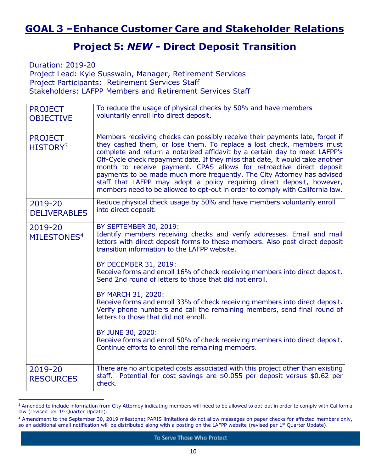### **GOAL 3 –Enhance Customer Care and Stakeholder Relations**

#### **Project 5:** *NEW -* **Direct Deposit Transition**

Duration: 2019-20 Project Lead: Kyle Susswain, Manager, Retirement Services Project Participants: Retirement Services Staff Stakeholders: LAFPP Members and Retirement Services Staff

| <b>PROJECT</b><br><b>OBJECTIVE</b>     | To reduce the usage of physical checks by 50% and have members<br>voluntarily enroll into direct deposit.                                                                                                                                                                                                                                                                                                                                                                                                                                                                                                                          |
|----------------------------------------|------------------------------------------------------------------------------------------------------------------------------------------------------------------------------------------------------------------------------------------------------------------------------------------------------------------------------------------------------------------------------------------------------------------------------------------------------------------------------------------------------------------------------------------------------------------------------------------------------------------------------------|
| <b>PROJECT</b><br>HISTORY <sup>3</sup> | Members receiving checks can possibly receive their payments late, forget if<br>they cashed them, or lose them. To replace a lost check, members must<br>complete and return a notarized affidavit by a certain day to meet LAFPP's<br>Off-Cycle check repayment date. If they miss that date, it would take another<br>month to receive payment. CPAS allows for retroactive direct deposit<br>payments to be made much more frequently. The City Attorney has advised<br>staff that LAFPP may adopt a policy requiring direct deposit, however,<br>members need to be allowed to opt-out in order to comply with California law. |
| 2019-20<br><b>DELIVERABLES</b>         | Reduce physical check usage by 50% and have members voluntarily enroll<br>into direct deposit.                                                                                                                                                                                                                                                                                                                                                                                                                                                                                                                                     |
| 2019-20<br>MILESTONES <sup>4</sup>     | BY SEPTEMBER 30, 2019:<br>Identify members receiving checks and verify addresses. Email and mail<br>letters with direct deposit forms to these members. Also post direct deposit<br>transition information to the LAFPP website.                                                                                                                                                                                                                                                                                                                                                                                                   |
|                                        | BY DECEMBER 31, 2019:<br>Receive forms and enroll 16% of check receiving members into direct deposit.<br>Send 2nd round of letters to those that did not enroll.                                                                                                                                                                                                                                                                                                                                                                                                                                                                   |
|                                        | BY MARCH 31, 2020:<br>Receive forms and enroll 33% of check receiving members into direct deposit.<br>Verify phone numbers and call the remaining members, send final round of<br>letters to those that did not enroll.                                                                                                                                                                                                                                                                                                                                                                                                            |
|                                        | BY JUNE 30, 2020:<br>Receive forms and enroll 50% of check receiving members into direct deposit.<br>Continue efforts to enroll the remaining members.                                                                                                                                                                                                                                                                                                                                                                                                                                                                             |
| 2019-20<br><b>RESOURCES</b>            | There are no anticipated costs associated with this project other than existing<br>staff. Potential for cost savings are \$0.055 per deposit versus \$0.62 per<br>check.                                                                                                                                                                                                                                                                                                                                                                                                                                                           |

<sup>&</sup>lt;sup>3</sup> Amended to include information from City Attorney indicating members will need to be allowed to opt-out in order to comply with California law (revised per 1<sup>st</sup> Quarter Update).

<sup>4</sup> Amendment to the September 30, 2019 milestone; PARIS limitations do not allow messages on paper checks for affected members only, so an additional email notification will be distributed along with a posting on the LAFPP website (revised per  $1<sup>st</sup>$  Quarter Update).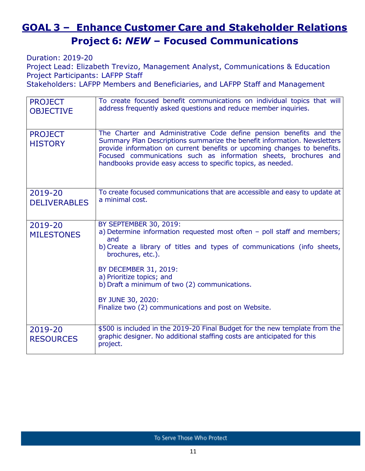# **GOAL 3 – Enhance Customer Care and Stakeholder Relations Project 6:** *NEW* **– Focused Communications**

Duration: 2019-20

Project Lead: Elizabeth Trevizo, Management Analyst, Communications & Education Project Participants: LAFPP Staff

Stakeholders: LAFPP Members and Beneficiaries, and LAFPP Staff and Management

| <b>PROJECT</b><br><b>OBJECTIVE</b> | To create focused benefit communications on individual topics that will<br>address frequently asked questions and reduce member inquiries.                                                                                                                                                                                                                                                   |
|------------------------------------|----------------------------------------------------------------------------------------------------------------------------------------------------------------------------------------------------------------------------------------------------------------------------------------------------------------------------------------------------------------------------------------------|
| <b>PROJECT</b><br><b>HISTORY</b>   | The Charter and Administrative Code define pension benefits and the<br>Summary Plan Descriptions summarize the benefit information. Newsletters<br>provide information on current benefits or upcoming changes to benefits.<br>Focused communications such as information sheets, brochures and<br>handbooks provide easy access to specific topics, as needed.                              |
| 2019-20<br><b>DELIVERABLES</b>     | To create focused communications that are accessible and easy to update at<br>a minimal cost.                                                                                                                                                                                                                                                                                                |
| 2019-20<br><b>MILESTONES</b>       | BY SEPTEMBER 30, 2019:<br>a) Determine information requested most often - poll staff and members;<br>and<br>b) Create a library of titles and types of communications (info sheets,<br>brochures, etc.).<br>BY DECEMBER 31, 2019:<br>a) Prioritize topics; and<br>b) Draft a minimum of two (2) communications.<br>BY JUNE 30, 2020:<br>Finalize two (2) communications and post on Website. |
| 2019-20<br><b>RESOURCES</b>        | \$500 is included in the 2019-20 Final Budget for the new template from the<br>graphic designer. No additional staffing costs are anticipated for this<br>project.                                                                                                                                                                                                                           |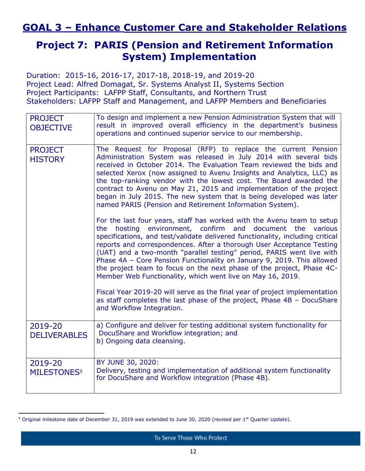### **GOAL 3 – Enhance Customer Care and Stakeholder Relations**

### **Project 7: PARIS (Pension and Retirement Information System) Implementation**

Duration: 2015-16, 2016-17, 2017-18, 2018-19, and 2019-20 Project Lead: Alfred Domagat, Sr. Systems Analyst II, Systems Section Project Participants: LAFPP Staff, Consultants, and Northern Trust Stakeholders: LAFPP Staff and Management, and LAFPP Members and Beneficiaries

| <b>PROJECT</b><br><b>OBJECTIVE</b>       | To design and implement a new Pension Administration System that will<br>result in improved overall efficiency in the department's business<br>operations and continued superior service to our membership.                                                                                                                                                                                                                                                                                                                                                                                      |
|------------------------------------------|--------------------------------------------------------------------------------------------------------------------------------------------------------------------------------------------------------------------------------------------------------------------------------------------------------------------------------------------------------------------------------------------------------------------------------------------------------------------------------------------------------------------------------------------------------------------------------------------------|
| <b>PROJECT</b><br><b>HISTORY</b>         | The Request for Proposal (RFP) to replace the current Pension<br>Administration System was released in July 2014 with several bids<br>received in October 2014. The Evaluation Team reviewed the bids and<br>selected Xerox (now assigned to Avenu Insights and Analytics, LLC) as<br>the top-ranking vendor with the lowest cost. The Board awarded the<br>contract to Avenu on May 21, 2015 and implementation of the project<br>began in July 2015. The new system that is being developed was later<br>named PARIS (Pension and Retirement Information System).                              |
|                                          | For the last four years, staff has worked with the Avenu team to setup<br>hosting environment, confirm and document<br>the<br>the<br>various<br>specifications, and test/validate delivered functionality, including critical<br>reports and correspondences. After a thorough User Acceptance Testing<br>(UAT) and a two-month "parallel testing" period, PARIS went live with<br>Phase 4A - Core Pension Functionality on January 9, 2019. This allowed<br>the project team to focus on the next phase of the project, Phase 4C-<br>Member Web Functionality, which went live on May 16, 2019. |
|                                          | Fiscal Year 2019-20 will serve as the final year of project implementation<br>as staff completes the last phase of the project, Phase 4B - DocuShare<br>and Workflow Integration.                                                                                                                                                                                                                                                                                                                                                                                                                |
| 2019-20<br><b>DELIVERABLES</b>           | a) Configure and deliver for testing additional system functionality for<br>DocuShare and Workflow integration; and<br>b) Ongoing data cleansing.                                                                                                                                                                                                                                                                                                                                                                                                                                                |
| 2019-20<br><b>MILESTONES<sup>5</sup></b> | BY JUNE 30, 2020:<br>Delivery, testing and implementation of additional system functionality<br>for DocuShare and Workflow integration (Phase 4B).                                                                                                                                                                                                                                                                                                                                                                                                                                               |

<sup>&</sup>lt;sup>5</sup> Original milestone date of December 31, 2019 was extended to June 30, 2020 (revised per 1<sup>st</sup> Quarter Update).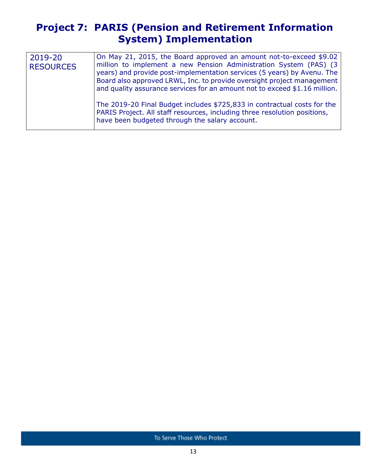### **Project 7: PARIS (Pension and Retirement Information System) Implementation**

| 2019-20<br><b>RESOURCES</b> | On May 21, 2015, the Board approved an amount not-to-exceed \$9.02<br>million to implement a new Pension Administration System (PAS) (3)<br>years) and provide post-implementation services (5 years) by Avenu. The<br>Board also approved LRWL, Inc. to provide oversight project management<br>and quality assurance services for an amount not to exceed \$1.16 million. |
|-----------------------------|-----------------------------------------------------------------------------------------------------------------------------------------------------------------------------------------------------------------------------------------------------------------------------------------------------------------------------------------------------------------------------|
|                             | The 2019-20 Final Budget includes \$725,833 in contractual costs for the<br>PARIS Project. All staff resources, including three resolution positions,<br>have been budgeted through the salary account.                                                                                                                                                                     |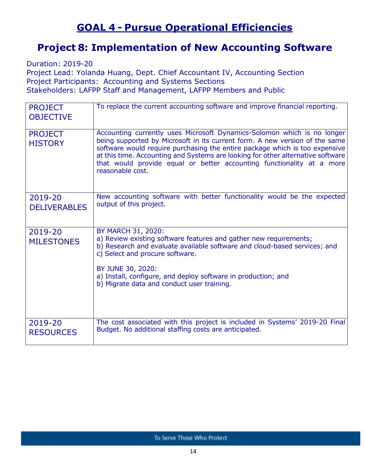### **GOAL 4 - Pursue Operational Efficiencies**

### **Project 8: Implementation of New Accounting Software**

Duration: 2019-20

Project Lead: Yolanda Huang, Dept. Chief Accountant IV, Accounting Section Project Participants: Accounting and Systems Sections Stakeholders: LAFPP Staff and Management, LAFPP Members and Public

| <b>PROJECT</b><br><b>OBJECTIVE</b> | To replace the current accounting software and improve financial reporting.                                                                                                                                                                                                                                                                                                                                           |
|------------------------------------|-----------------------------------------------------------------------------------------------------------------------------------------------------------------------------------------------------------------------------------------------------------------------------------------------------------------------------------------------------------------------------------------------------------------------|
| <b>PROJECT</b><br><b>HISTORY</b>   | Accounting currently uses Microsoft Dynamics-Solomon which is no longer<br>being supported by Microsoft in its current form. A new version of the same<br>software would require purchasing the entire package which is too expensive<br>at this time. Accounting and Systems are looking for other alternative software<br>that would provide equal or better accounting functionality at a more<br>reasonable cost. |
| 2019-20<br><b>DELIVERABLES</b>     | New accounting software with better functionality would be the expected<br>output of this project.                                                                                                                                                                                                                                                                                                                    |
| 2019-20<br><b>MILESTONES</b>       | BY MARCH 31, 2020:<br>a) Review existing software features and gather new requirements;<br>b) Research and evaluate available software and cloud-based services; and<br>c) Select and procure software.<br>BY JUNE 30, 2020:<br>a) Install, configure, and deploy software in production; and<br>b) Migrate data and conduct user training.                                                                           |
| 2019-20<br><b>RESOURCES</b>        | The cost associated with this project is included in Systems' 2019-20 Final<br>Budget. No additional staffing costs are anticipated.                                                                                                                                                                                                                                                                                  |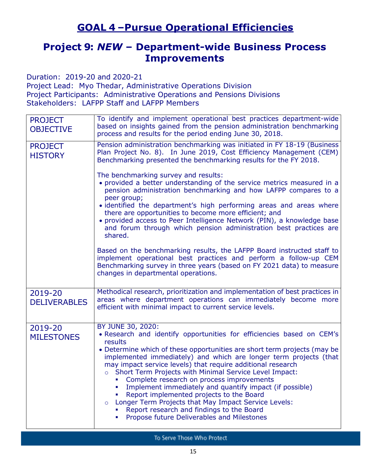### **GOAL 4 –Pursue Operational Efficiencies**

### **Project 9:** *NEW* **– Department-wide Business Process Improvements**

Duration: 2019-20 and 2020-21

Project Lead: Myo Thedar, Administrative Operations Division Project Participants: Administrative Operations and Pensions Divisions Stakeholders: LAFPP Staff and LAFPP Members

| <b>PROJECT</b><br><b>OBJECTIVE</b> | To identify and implement operational best practices department-wide<br>based on insights gained from the pension administration benchmarking<br>process and results for the period ending June 30, 2018.                                                                                                                                                                                                                                                                                                                                                                                                                                                                                           |
|------------------------------------|-----------------------------------------------------------------------------------------------------------------------------------------------------------------------------------------------------------------------------------------------------------------------------------------------------------------------------------------------------------------------------------------------------------------------------------------------------------------------------------------------------------------------------------------------------------------------------------------------------------------------------------------------------------------------------------------------------|
| <b>PROJECT</b><br><b>HISTORY</b>   | Pension administration benchmarking was initiated in FY 18-19 (Business<br>Plan Project No. 8). In June 2019, Cost Efficiency Management (CEM)<br>Benchmarking presented the benchmarking results for the FY 2018.                                                                                                                                                                                                                                                                                                                                                                                                                                                                                  |
|                                    | The benchmarking survey and results:<br>• provided a better understanding of the service metrics measured in a<br>pension administration benchmarking and how LAFPP compares to a<br>peer group;<br>• identified the department's high performing areas and areas where<br>there are opportunities to become more efficient; and<br>• provided access to Peer Intelligence Network (PIN), a knowledge base<br>and forum through which pension administration best practices are<br>shared.                                                                                                                                                                                                          |
|                                    | Based on the benchmarking results, the LAFPP Board instructed staff to<br>implement operational best practices and perform a follow-up CEM<br>Benchmarking survey in three years (based on FY 2021 data) to measure<br>changes in departmental operations.                                                                                                                                                                                                                                                                                                                                                                                                                                          |
| 2019-20<br><b>DELIVERABLES</b>     | Methodical research, prioritization and implementation of best practices in<br>areas where department operations can immediately become more<br>efficient with minimal impact to current service levels.                                                                                                                                                                                                                                                                                                                                                                                                                                                                                            |
| 2019-20<br><b>MILESTONES</b>       | BY JUNE 30, 2020:<br>. Research and identify opportunities for efficiencies based on CEM's<br>results<br>• Determine which of these opportunities are short term projects (may be<br>implemented immediately) and which are longer term projects (that<br>may impact service levels) that require additional research<br>o Short Term Projects with Minimal Service Level Impact:<br>Complete research on process improvements<br>Implement immediately and quantify impact (if possible)<br>Report implemented projects to the Board<br>Longer Term Projects that May Impact Service Levels:<br>$\circ$<br>Report research and findings to the Board<br>Propose future Deliverables and Milestones |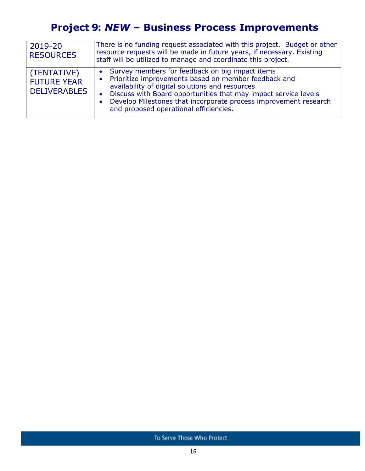# **Project 9:** *NEW* **– Business Process Improvements**

| 2019-20<br><b>RESOURCES</b>                              | There is no funding request associated with this project. Budget or other<br>resource requests will be made in future years, if necessary. Existing<br>staff will be utilized to manage and coordinate this project.                                                                                                                                         |
|----------------------------------------------------------|--------------------------------------------------------------------------------------------------------------------------------------------------------------------------------------------------------------------------------------------------------------------------------------------------------------------------------------------------------------|
| (TENTATIVE)<br><b>FUTURE YEAR</b><br><b>DELIVERABLES</b> | Survey members for feedback on big impact items<br>Prioritize improvements based on member feedback and<br>$\bullet$<br>availability of digital solutions and resources<br>• Discuss with Board opportunities that may impact service levels<br>• Develop Milestones that incorporate process improvement research<br>and proposed operational efficiencies. |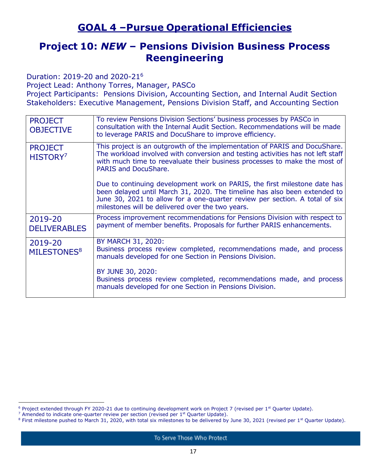### **GOAL 4 –Pursue Operational Efficiencies**

#### **Project 10:** *NEW* **– Pensions Division Business Process Reengineering**

Duration: 2019-20 and 2020-21<sup>6</sup>

Project Lead: Anthony Torres, Manager, PASCo

Project Participants: Pensions Division, Accounting Section, and Internal Audit Section Stakeholders: Executive Management, Pensions Division Staff, and Accounting Section

| <b>PROJECT</b><br><b>OBJECTIVE</b>     | To review Pensions Division Sections' business processes by PASCo in<br>consultation with the Internal Audit Section. Recommendations will be made<br>to leverage PARIS and DocuShare to improve efficiency.                                                                              |
|----------------------------------------|-------------------------------------------------------------------------------------------------------------------------------------------------------------------------------------------------------------------------------------------------------------------------------------------|
| <b>PROJECT</b><br>HISTORY <sup>7</sup> | This project is an outgrowth of the implementation of PARIS and DocuShare.<br>The workload involved with conversion and testing activities has not left staff<br>with much time to reevaluate their business processes to make the most of<br>PARIS and DocuShare.                        |
|                                        | Due to continuing development work on PARIS, the first milestone date has<br>been delayed until March 31, 2020. The timeline has also been extended to<br>June 30, 2021 to allow for a one-quarter review per section. A total of six<br>milestones will be delivered over the two years. |
| 2019-20<br><b>DELIVERABLES</b>         | Process improvement recommendations for Pensions Division with respect to<br>payment of member benefits. Proposals for further PARIS enhancements.                                                                                                                                        |
| 2019-20<br>MILESTONES <sup>8</sup>     | BY MARCH 31, 2020:<br>Business process review completed, recommendations made, and process<br>manuals developed for one Section in Pensions Division.                                                                                                                                     |
|                                        | BY JUNE 30, 2020:<br>Business process review completed, recommendations made, and process<br>manuals developed for one Section in Pensions Division.                                                                                                                                      |

 $6$  Project extended through FY 2020-21 due to continuing development work on Project 7 (revised per 1<sup>st</sup> Quarter Update).

 $7$  Amended to indicate one-quarter review per section (revised per  $1<sup>st</sup>$  Quarter Update).

<sup>&</sup>lt;sup>8</sup> First milestone pushed to March 31, 2020, with total six milestones to be delivered by June 30, 2021 (revised per 1<sup>st</sup> Quarter Update).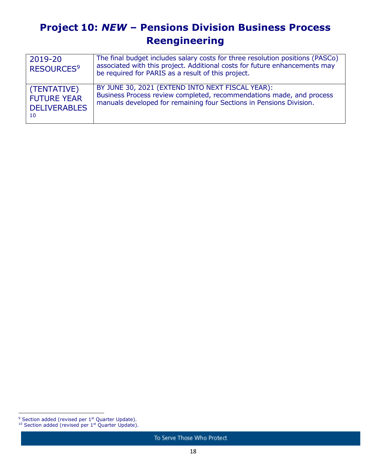# **Project 10:** *NEW* **– Pensions Division Business Process Reengineering**

| 2019-20<br>RESOURCES <sup>9</sup>                              | The final budget includes salary costs for three resolution positions (PASCo)<br>associated with this project. Additional costs for future enhancements may<br>be required for PARIS as a result of this project. |
|----------------------------------------------------------------|-------------------------------------------------------------------------------------------------------------------------------------------------------------------------------------------------------------------|
| (TENTATIVE)<br><b>FUTURE YEAR</b><br><b>DELIVERABLES</b><br>10 | BY JUNE 30, 2021 (EXTEND INTO NEXT FISCAL YEAR):<br>Business Process review completed, recommendations made, and process<br>manuals developed for remaining four Sections in Pensions Division.                   |

 $9$  Section added (revised per  $1<sup>st</sup>$  Quarter Update).

 $10$  Section added (revised per  $1<sup>st</sup>$  Quarter Update).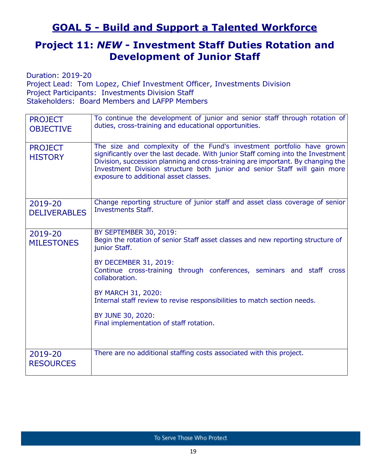### **GOAL 5 - Build and Support a Talented Workforce**

### **Project 11:** *NEW* **- Investment Staff Duties Rotation and Development of Junior Staff**

Duration: 2019-20 Project Lead: Tom Lopez, Chief Investment Officer, Investments Division Project Participants: Investments Division Staff Stakeholders: Board Members and LAFPP Members

| <b>PROJECT</b><br><b>OBJECTIVE</b> | To continue the development of junior and senior staff through rotation of<br>duties, cross-training and educational opportunities.                                                                                                                                                                                                                                |
|------------------------------------|--------------------------------------------------------------------------------------------------------------------------------------------------------------------------------------------------------------------------------------------------------------------------------------------------------------------------------------------------------------------|
| <b>PROJECT</b><br><b>HISTORY</b>   | The size and complexity of the Fund's investment portfolio have grown<br>significantly over the last decade. With junior Staff coming into the Investment<br>Division, succession planning and cross-training are important. By changing the<br>Investment Division structure both junior and senior Staff will gain more<br>exposure to additional asset classes. |
| 2019-20<br><b>DELIVERABLES</b>     | Change reporting structure of junior staff and asset class coverage of senior<br><b>Investments Staff.</b>                                                                                                                                                                                                                                                         |
| 2019-20<br><b>MILESTONES</b>       | BY SEPTEMBER 30, 2019:<br>Begin the rotation of senior Staff asset classes and new reporting structure of<br>junior Staff.                                                                                                                                                                                                                                         |
|                                    | BY DECEMBER 31, 2019:<br>Continue cross-training through conferences, seminars and staff cross<br>collaboration.                                                                                                                                                                                                                                                   |
|                                    | BY MARCH 31, 2020:<br>Internal staff review to revise responsibilities to match section needs.                                                                                                                                                                                                                                                                     |
|                                    | BY JUNE 30, 2020:<br>Final implementation of staff rotation.                                                                                                                                                                                                                                                                                                       |
| 2019-20<br><b>RESOURCES</b>        | There are no additional staffing costs associated with this project.                                                                                                                                                                                                                                                                                               |